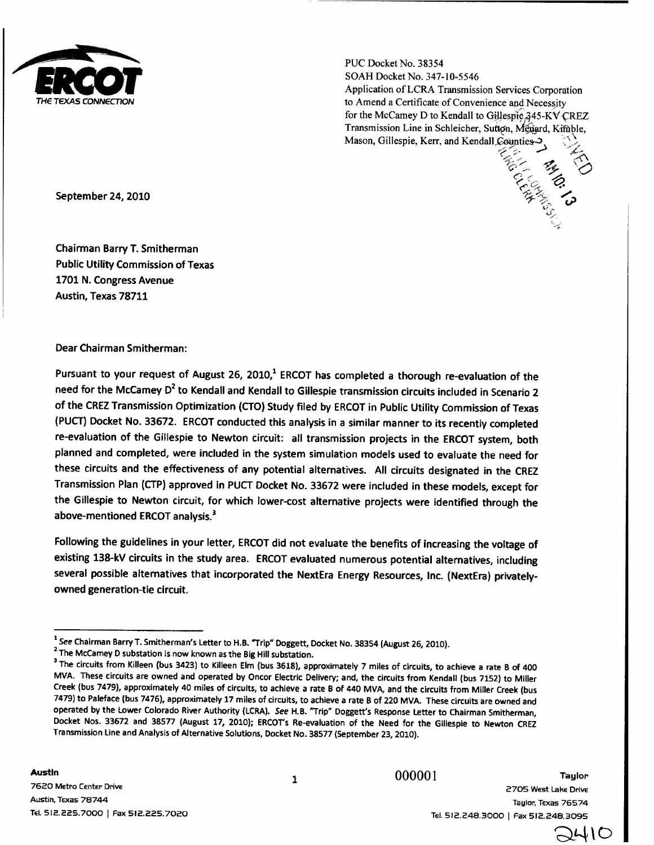

**PUC Docket No. 38354 SOAH Docket No. 347-10-5546 Application of LCRA Transmission Services Corporation to Amend a Certificate of Convenience and Necessity** for the McCamey D to Kendall to Gillespie 345-KV CREZ Transmission Line in Schleicher, Sutton, Menard, Kimble, Mason, Gillespie, Kerr, and Kendall Counties

.nd .co

**September** 24, 2010

Chairman Barry T. Smitherman Public Utility Commission of Texas 1701 N. Congress Avenue Austin, Texas 78711

Dear Chairman Smitherman:

Pursuant to your request of August 26, 2010,<sup>1</sup> ERCOT has completed a thorough re-evaluation of the need for the McCamey  $D^2$  to Kendall and Kendall to Gillespie transmission circuits included in Scenario 2 of the CREZ Transmission Optimization (CTO) Study filed by ERCOT in Public Utility Commission of Texas (PUCT) Docket No. 33672. ERCOT conducted this analysis in a similar manner to its recently completed re-evaluation of the Gillespie to Newton circuit: all transmission projects in the ERCOT system, both planned and completed, were included in the system simulation models used to evaluate the need for these circuits and the effectiveness of any potential alternatives. All circuits designated in the CREZ Transmission Plan (CTP) approved in PUCT Docket No. 33672 were included in these models, except for the Gillespie to Newton circuit, for which lower-cost alternative projects were identified through the above-mentioned ERCOT analysis.<sup>3</sup>

Following the guidelines in your letter, ERCOT did not evaluate the benefits of increasing the voltage of existing 138-kV circuits in the study area. ERCOT evaluated numerous potential alternatives, including several possible alternatives that incorporated the NextEra Energy Resources, Inc. (NextEra) privatelyowned generation-tie circuit.

000001 Taylor 2705 West Lake Drive Taylor, Texas 76574 Tel. 512.248.3000 1 Fax 512.248.3095

 $\mathcal{L}$ 

<sup>&</sup>lt;sup>1</sup> See Chairman Barry T. Smitherman's Letter to H.B. "Trip" Doggett, Docket No. 38354 (August 26, 2010).

<sup>&</sup>lt;sup>2</sup> The McCamey D substation is now known as the Big Hill substation.

<sup>&</sup>lt;sup>3</sup> The circuits from Killeen (bus 3423) to Killeen Elm (bus 3618), approximately 7 miles of circuits, to achieve a rate B of 400 MVA. These circuits are owned and operated by Oncor Electric Delivery; and, the circuits from Kendall (bus 7152) to Miller Creek (bus 7479), approximately 40 miles of circuits, to achieve a rate B of 440 MVA, and the circuits from Miller Creek (bus 7479) to Paleface (bus 7476), approximately 17 miles of circuits, to achieve a rate B of 220 MVA. These circuits are owned and operated by the Lower Colorado River Authority (LCRA). See H.B. "Trip" Doggett's Response Letter to Chairman Smitherman, Docket Nos. 33672 and 38577 (August 17, 2010); ERCOT's Re-evaluation of the Need for the Gillespie to Newton CREZ Transmission Line and Analysis of Alternative Solutions, Docket No. 38577 (September 23, 2010).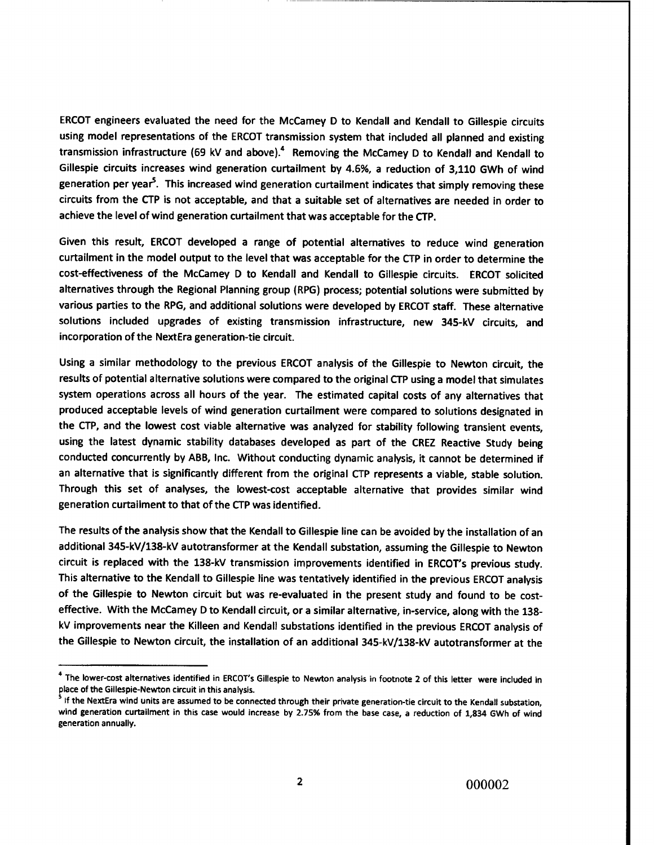ERCOT engineers evaluated the need for the McCamey D to Kendall and Kendall to Gillespie circuits using model representations of the ERCOT transmission system that included all planned and existing transmission infrastructure (69 kV and above).<sup>4</sup> Removing the McCamey D to Kendall and Kendall to Gillespie circuits increases wind generation curtailment by 4.6%, a reduction of 3,110 GWh of wind generation per year<sup>5</sup>. This increased wind generation curtailment indicates that simply removing these circuits from the CTP is not acceptable, and that a suitable set of alternatives are needed in order to achieve the level of wind generation curtailment that was acceptable for the CTP.

Given this result, ERCOT developed a range of potential alternatives to reduce wind generation curtailment in the model output to the level that was acceptable for the CTP in order to determine the cost-effectiveness of the McCamey D to Kendall and Kendall to Gillespie circuits. ERCOT solicited alternatives through the Regional Planning group (RPG) process; potential solutions were submitted by various parties to the RPG, and additional solutions were developed by ERCOT staff. These alternative solutions included upgrades of existing transmission infrastructure, new 345-kV circuits, and incorporation of the NextEra generation-tie circuit.

Using a similar methodology to the previous ERCOT analysis of the Gillespie to Newton circuit, the results of potential alternative solutions were compared to the original CTP using a model that simulates system operations across all hours of the year. The estimated capital costs of any alternatives that produced acceptable levels of wind generation curtailment were compared to solutions designated in the CTP, and the lowest cost viable alternative was analyzed for stability following transient events, using the latest dynamic stability databases developed as part of the CREZ Reactive Study being conducted concurrently by ABB, Inc. Without conducting dynamic analysis, it cannot be determined if an alternative that is significantly different from the original CTP represents a viable, stable solution. Through this set of analyses, the lowest-cost acceptable alternative that provides similar wind generation curtailment to that of the CTP was identified.

The results of the analysis show that the Kendall to Gillespie line can be avoided by the installation of an additional 345-kV/138-kV autotransformer at the Kendall substation, assuming the Gillespie to Newton circuit is replaced with the 138-kV transmission improvements identified in ERCOT's previous study. This alternative to the Kendall to Gillespie line was tentatively identified in the previous ERCOT analysis of the Gillespie to Newton circuit but was re-evaluated in the present study and found to be costeffective. With the McCamey D to Kendall circuit, or a similar alternative, in-service, along with the 138 kV improvements near the Killeen and Kendall substations identified in the previous ERCOT analysis of the Gillespie to Newton circuit, the installation of an additional 345-kV/138-kV autotransformer at the

<sup>&</sup>lt;sup>4</sup> The lower-cost alternatives identified in ERCOT's Gillespie to Newton analysis in footnote 2 of this letter were included in place of the Gillespie-Newton circuit in this analysis.

If the NextEra wind units are assumed to be connected through their private generation-tie circuit to the Kendall substation, wind generation curtailment in this case would increase by 2.75% from the base case, a reduction of 1,834 GWh of wind generation annually.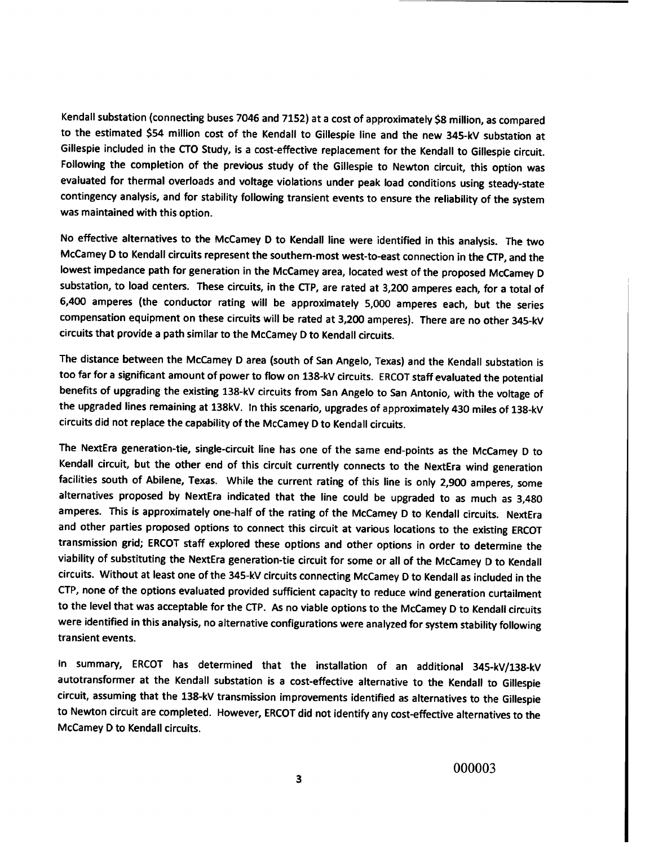**Kendall substation** (**connecting buses 7046 and 7152) at a cost of approximately \$8 million, as compared to the estimated \$54 million cost of the Kendall to Gillespie line and the new 345-kV substation at Gillespie included in the CTO Study, is a cost-effective replacement for the Kendall to Gillespie circuit. Following the completion of the previous study of the Gillespie to Newton circuit, this option was evaluated for thermal overloads and voltage violations under peak load conditions using steady-state contingency analysis, and for stability following transient events to ensure the reliability of the system was maintained with this option.**

**No effective alternatives to the McCamey D to Kendall line were identified in this analysis. The two McCamey D to Kendall circuits represent the southem-most west-to-east connection in the CTP, and the lowest impedance path for generation in the McCamey area, located west of the proposed McCamey D substation, to load centers. These circuits, in the CTP, are rated at 3,200 amperes each, for a total of 6,400 amperes** (**the conductor rating will be approximately 5,000 amperes each, but the series compensation equipment on these circuits will be rated at 3,200 amperes). There are no other 345-kV circuits that provide a path similar to the McCamey D to Kendall circuits.**

**The distance between the McCamey D area** (**south of San Angelo, Texas) and the Kendall substation is too far for a significant amount of power to flow on 138-kV circuits. ERCOT staff evaluated the potential benefits of upgrading the existing 138-kV circuits from San Angelo to San Antonio, with the voltage of the upgraded lines remaining at 138kV. In this scenario, upgrades of approximately 430 miles of 138-kV circuits did not replace the capability of the McCamey D to Kendall circuits.**

**The NextEra generation-tie, single-circuit line has one of the same end-points as the McCamey D to Kendall circuit, but the other end of this circuit currently connects to the NextEra wind generation facilities south of Abilene, Texas. While the current rating of this line is only 2,900 amperes, some alternatives proposed by NextEra indicated that the line could be upgraded to as much as 3,480 amperes. This is approximately one-half of the rating of the McCamey D to Kendall circuits. NextEra and other parties proposed options to connect this circuit at various locations to the existing ERCOT transmission grid; ERCOT staff explored these options and other options in order to determine the viability of substituting the NextEra generation-tie circuit for some or all of the McCamey D to Kendall circuits. Without at least one of the 345-kV circuits connecting McCamey D to Kendall as included in the** CTP, **none of the options evaluated provided sufficient capacity to reduce wind generation curtailment to the level that was acceptable for the CTP. As no viable options to the McCamey D to Kendall circuits were identified in this analysis, no alternative configurations were analyzed for system stability following transient events.**

In summary, ERCOT has determined that the installation of an additional 345-kV/138-kV autotransformer at the Kendall substation is a cost-effective alternative to the Kendall to Gillespie circuit, assuming that the 138-kV transmission improvements identified as alternatives to the Gillespie to Newton circuit are completed. However, ERCOT did not identify any cost-effective alternatives to the McCamey D to Kendall circuits.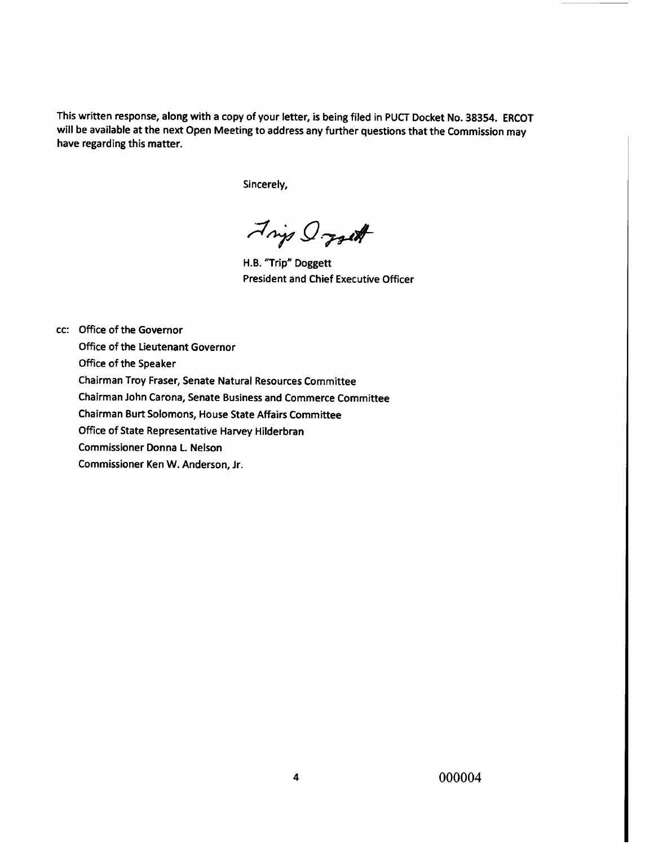This written **response, along with a** copy of your **letter, is being** filed in PUCT Docket No. 38354. ERCOT **will be available at the next** Open **Meeting to** address any further questions that the Commission may **have regarding this matter.**

Sincerely,

.^. **.** Q.**^**

H.B. "Trip" Doggett President and Chief Executive Officer

cc: Office of **the Governor**

Office of the Lieutenant Governor

Office of the Speaker

Chairman Troy Fraser, Senate Natural Resources Committee

Chairman John Carona, Senate Business and Commerce Committee

Chairman Burt Solomons, House State Affairs Committee

Office of State Representative Harvey Hilderbran

Commissioner Donna L. Nelson

Commissioner Ken W. Anderson, Jr.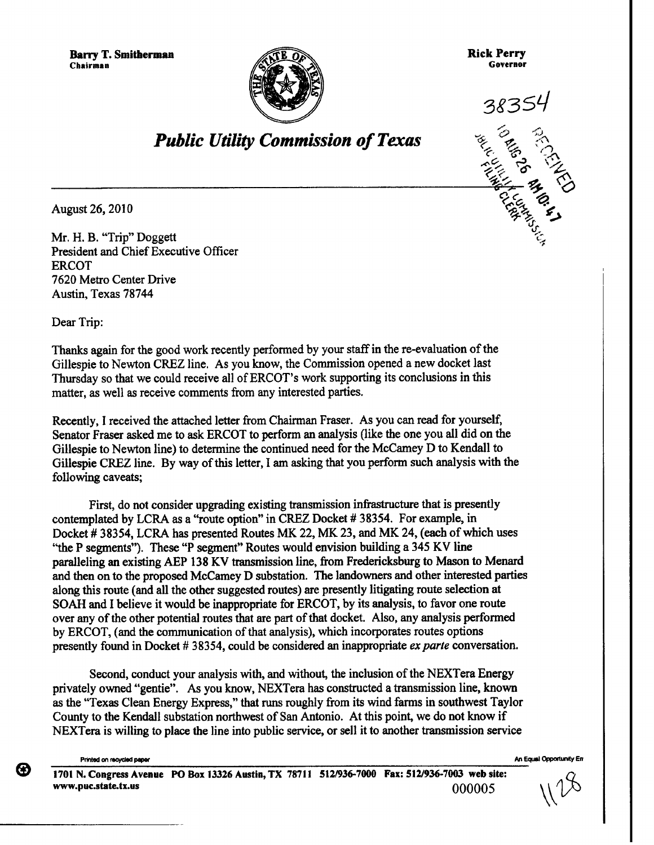Barry T. Smitherman **Chairman** ^^l+TE



Rick Perry **Governor**



 $\frac{1}{2}$ 

f.^

## *Public Utility Commission of Texas*

**August 26, 2010**

Mr. H. B. "Trip" Doggett President and Chief Executive Officer ERCOT 7620 Metro Center Drive Austin, Texas 78744

Dear Trip:

Thanks again for the good work recently performed by your staff in the re-evaluation of the Gillespie to Newton CREZ line. As you know, the Commission opened a new docket last Thursday so that we could receive all of ERCOT's work supporting its conclusions in this matter, as well as receive comments from any interested parties.

Recently, I received the attached letter from Chairman Fraser. As you can read for yourself, Senator Fraser asked me to ask ERCOT to perform an analysis (like the one you all did on the Gillespie to Newton line) to determine the continued need for the McCamey D to Kendall to Gillespie CREZ line. By way of this letter, I am asking that you perform such analysis with the following caveats;

First, do not consider upgrading existing transmission infrastructure that is presently contemplated by LCRA as a "route option" in CREZ Docket # 38354. For example, in Docket # 38354, LCRA has presented Routes MK 22, MK 23, and MK 24, (each of which uses "the P segments"). These "P segment" Routes would envision building a 345 KV line paralleling an existing AEP 138 KV transmission line, from Fredericksburg to Mason to Menard and then on to the proposed McCamey D substation. The landowners and other interested parties along this route (and all the other suggested routes) are presently litigating route selection at SOAH and I believe it would be inappropriate for ERCOT, by its analysis, to favor one route over any of the other potential routes that are part of that docket. Also, any analysis performed by ERCOT, (and the communication of that analysis), which incorporates routes options presently found in Docket # 38354, could be considered an inappropriate *ex parte* conversation.

Second, conduct your analysis with, and without, the inclusion of the NEXTera Energy privately owned "gentie". As you know, NEXTera has constructed a transmission line, known as the "Texas Clean Energy Express," that runs roughly from its wind farms in southwest Taylor County to the Kendall substation northwest of San Antonio. At this point, we do not know if NEXTera is willing to place the line into public service, or sell it to another transmission service

(3)

**1701 N. Congress Avenue PO Box 13326 Austin, TX 78711 512/936-7000 Fax: 512/936-7003 web site: www.puc.state.tx.us** 000005

PriMed on recycled pePer M Equal OpportirutY Err

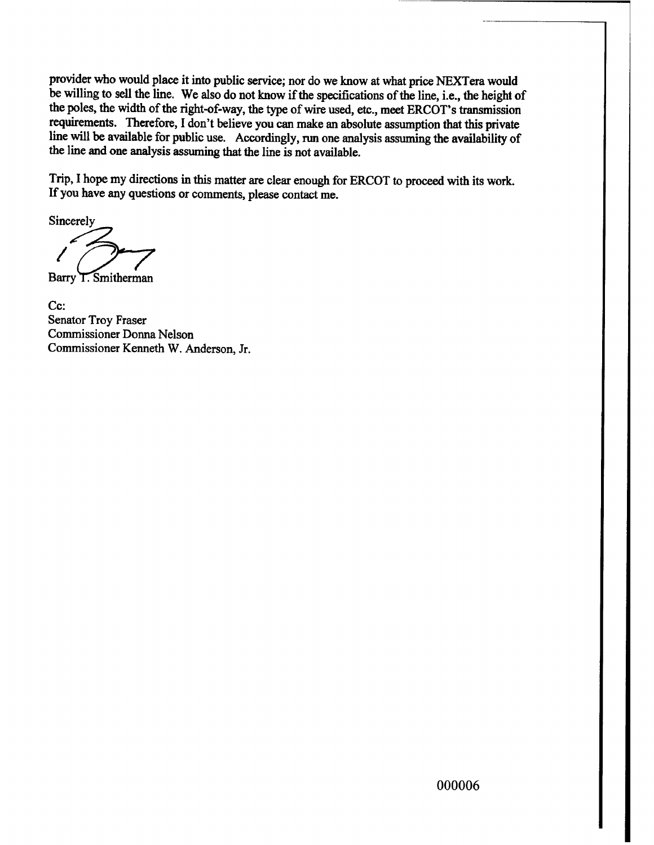provider who would place it into public service; nor do we know at what price NEXTera would be willing to sell the line. We also do not know if the specifications of the line, i.e., the height of the poles, the width of the right-of-way, the type of wire used, etc., meet ERCOT's transmission requirements. Therefore, I don't believe you can make an absolute assumption that this private line will be available for public use. Accordingly, run one analysis assuming the availability of the line and one analysis assuming that the line is not available.

Trip, I hope my directions in this matter are clear enough for ERCOT to proceed with its work. If you have any questions or comments, please contact me.

Sincerely

Barry T. Smitherman

Cc: **Senator Troy Fraser Commissioner Donna Nelson Commissioner Kenneth W. Anderson, Jr.**